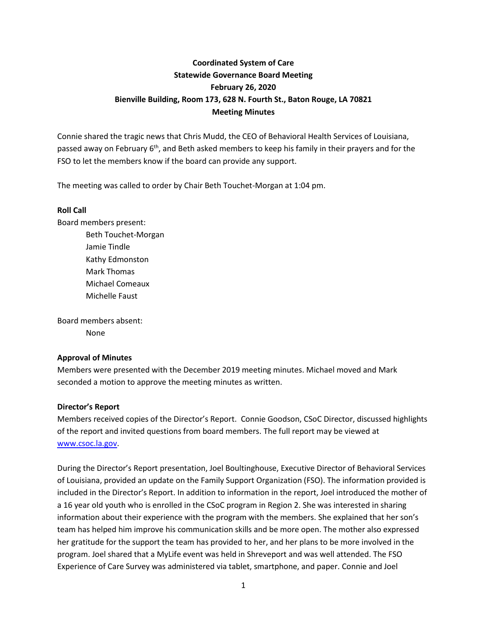# **Coordinated System of Care Statewide Governance Board Meeting February 26, 2020 Bienville Building, Room 173, 628 N. Fourth St., Baton Rouge, LA 70821 Meeting Minutes**

Connie shared the tragic news that Chris Mudd, the CEO of Behavioral Health Services of Louisiana, passed away on February 6<sup>th</sup>, and Beth asked members to keep his family in their prayers and for the FSO to let the members know if the board can provide any support.

The meeting was called to order by Chair Beth Touchet-Morgan at 1:04 pm.

#### **Roll Call**

Board members present:

Beth Touchet-Morgan Jamie Tindle Kathy Edmonston Mark Thomas Michael Comeaux Michelle Faust

Board members absent:

None

### **Approval of Minutes**

Members were presented with the December 2019 meeting minutes. Michael moved and Mark seconded a motion to approve the meeting minutes as written.

### **Director's Report**

Members received copies of the Director's Report. Connie Goodson, CSoC Director, discussed highlights of the report and invited questions from board members. The full report may be viewed at [www.csoc.la.gov.](http://www.csoc.la.gov/)

During the Director's Report presentation, Joel Boultinghouse, Executive Director of Behavioral Services of Louisiana, provided an update on the Family Support Organization (FSO). The information provided is included in the Director's Report. In addition to information in the report, Joel introduced the mother of a 16 year old youth who is enrolled in the CSoC program in Region 2. She was interested in sharing information about their experience with the program with the members. She explained that her son's team has helped him improve his communication skills and be more open. The mother also expressed her gratitude for the support the team has provided to her, and her plans to be more involved in the program. Joel shared that a MyLife event was held in Shreveport and was well attended. The FSO Experience of Care Survey was administered via tablet, smartphone, and paper. Connie and Joel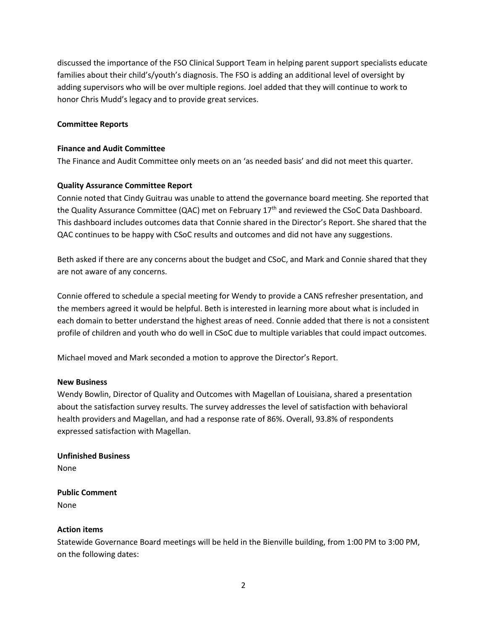discussed the importance of the FSO Clinical Support Team in helping parent support specialists educate families about their child's/youth's diagnosis. The FSO is adding an additional level of oversight by adding supervisors who will be over multiple regions. Joel added that they will continue to work to honor Chris Mudd's legacy and to provide great services.

#### **Committee Reports**

#### **Finance and Audit Committee**

The Finance and Audit Committee only meets on an 'as needed basis' and did not meet this quarter.

#### **Quality Assurance Committee Report**

Connie noted that Cindy Guitrau was unable to attend the governance board meeting. She reported that the Quality Assurance Committee (QAC) met on February 17<sup>th</sup> and reviewed the CSoC Data Dashboard. This dashboard includes outcomes data that Connie shared in the Director's Report. She shared that the QAC continues to be happy with CSoC results and outcomes and did not have any suggestions.

Beth asked if there are any concerns about the budget and CSoC, and Mark and Connie shared that they are not aware of any concerns.

Connie offered to schedule a special meeting for Wendy to provide a CANS refresher presentation, and the members agreed it would be helpful. Beth is interested in learning more about what is included in each domain to better understand the highest areas of need. Connie added that there is not a consistent profile of children and youth who do well in CSoC due to multiple variables that could impact outcomes.

Michael moved and Mark seconded a motion to approve the Director's Report.

#### **New Business**

Wendy Bowlin, Director of Quality and Outcomes with Magellan of Louisiana, shared a presentation about the satisfaction survey results. The survey addresses the level of satisfaction with behavioral health providers and Magellan, and had a response rate of 86%. Overall, 93.8% of respondents expressed satisfaction with Magellan.

#### **Unfinished Business**

None

#### **Public Comment** None

#### **Action items**

Statewide Governance Board meetings will be held in the Bienville building, from 1:00 PM to 3:00 PM, on the following dates: